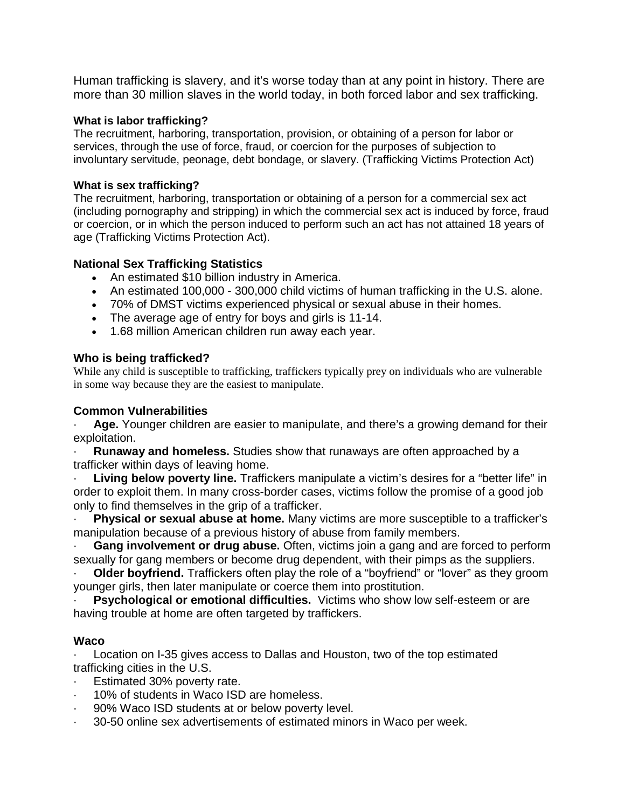Human trafficking is slavery, and it's worse today than at any point in history. There are more than 30 million slaves in the world today, in both forced labor and sex trafficking.

#### **What is labor trafficking?**

The recruitment, harboring, transportation, provision, or obtaining of a person for labor or services, through the use of force, fraud, or coercion for the purposes of subjection to involuntary servitude, peonage, debt bondage, or slavery. (Trafficking Victims Protection Act)

#### **What is sex trafficking?**

The recruitment, harboring, transportation or obtaining of a person for a commercial sex act (including pornography and stripping) in which the commercial sex act is induced by force, fraud or coercion, or in which the person induced to perform such an act has not attained 18 years of age (Trafficking Victims Protection Act).

#### **National Sex Trafficking Statistics**

- An estimated \$10 billion industry in America.
- An estimated 100,000 300,000 child victims of human trafficking in the U.S. alone.
- 70% of DMST victims experienced physical or sexual abuse in their homes.
- The average age of entry for boys and girls is 11-14.
- 1.68 million American children run away each year.

#### **Who is being trafficked?**

While any child is susceptible to trafficking, traffickers typically prey on individuals who are vulnerable in some way because they are the easiest to manipulate.

#### **Common Vulnerabilities**

Age. Younger children are easier to manipulate, and there's a growing demand for their exploitation.

· **Runaway and homeless.** Studies show that runaways are often approached by a trafficker within days of leaving home.

· **Living below poverty line.** Traffickers manipulate a victim's desires for a "better life" in order to exploit them. In many cross-border cases, victims follow the promise of a good job only to find themselves in the grip of a trafficker.

· **Physical or sexual abuse at home.** Many victims are more susceptible to a trafficker's manipulation because of a previous history of abuse from family members.

**Gang involvement or drug abuse.** Often, victims join a gang and are forced to perform sexually for gang members or become drug dependent, with their pimps as the suppliers.

**Older boyfriend.** Traffickers often play the role of a "boyfriend" or "lover" as they groom younger girls, then later manipulate or coerce them into prostitution.

**Psychological or emotional difficulties.** Victims who show low self-esteem or are having trouble at home are often targeted by traffickers.

#### **Waco**

Location on I-35 gives access to Dallas and Houston, two of the top estimated trafficking cities in the U.S.

- Estimated 30% poverty rate.
- 10% of students in Waco ISD are homeless.
- · 90% Waco ISD students at or below poverty level.
- · 30-50 online sex advertisements of estimated minors in Waco per week.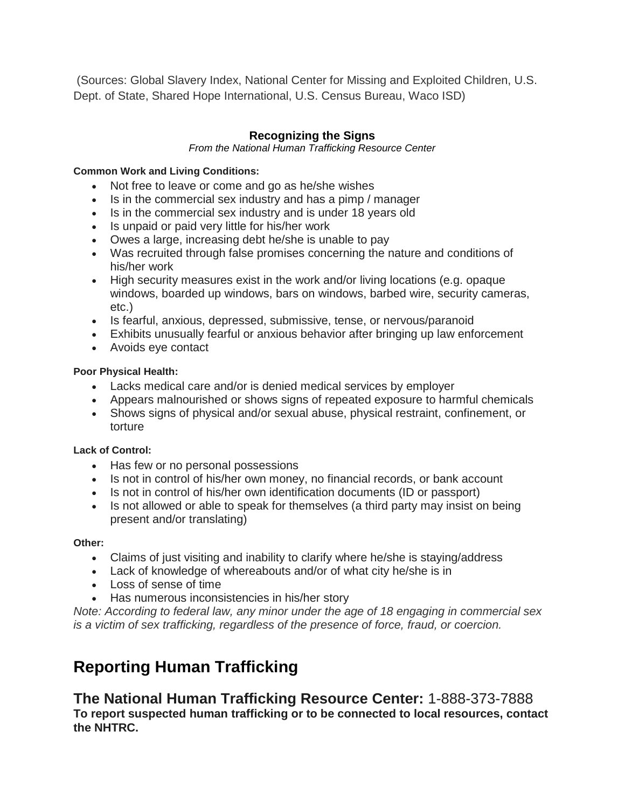(Sources: Global Slavery Index, National Center for Missing and Exploited Children, U.S. Dept. of State, Shared Hope International, U.S. Census Bureau, Waco ISD)

#### **Recognizing the Signs**

*From the National Human Trafficking Resource Center*

#### **Common Work and Living Conditions:**

- Not free to leave or come and go as he/she wishes
- Is in the commercial sex industry and has a pimp / manager
- Is in the commercial sex industry and is under 18 years old
- Is unpaid or paid very little for his/her work
- Owes a large, increasing debt he/she is unable to pay
- Was recruited through false promises concerning the nature and conditions of his/her work
- High security measures exist in the work and/or living locations (e.g. opaque windows, boarded up windows, bars on windows, barbed wire, security cameras, etc.)
- Is fearful, anxious, depressed, submissive, tense, or nervous/paranoid
- Exhibits unusually fearful or anxious behavior after bringing up law enforcement
- Avoids eye contact

#### **Poor Physical Health:**

- Lacks medical care and/or is denied medical services by employer
- Appears malnourished or shows signs of repeated exposure to harmful chemicals
- Shows signs of physical and/or sexual abuse, physical restraint, confinement, or torture

#### **Lack of Control:**

- Has few or no personal possessions
- Is not in control of his/her own money, no financial records, or bank account
- Is not in control of his/her own identification documents (ID or passport)
- Is not allowed or able to speak for themselves (a third party may insist on being present and/or translating)

#### **Other:**

- Claims of just visiting and inability to clarify where he/she is staying/address
- Lack of knowledge of whereabouts and/or of what city he/she is in
- Loss of sense of time
- Has numerous inconsistencies in his/her story

*Note: According to federal law, any minor under the age of 18 engaging in commercial sex is a victim of sex trafficking, regardless of the presence of force, fraud, or coercion.*

# **Reporting Human Trafficking**

**The National Human Trafficking Resource Center:** 1-888-373-7888 **To report suspected human trafficking or to be connected to local resources, contact the NHTRC.**